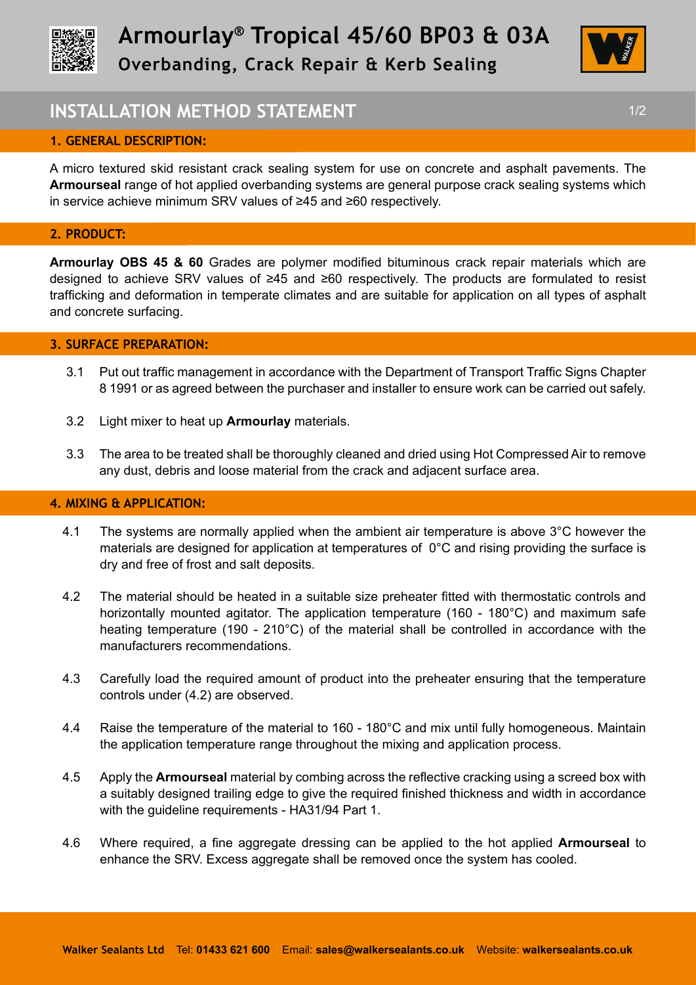



# **INSTALLATION METHOD STATEMENT 1/2 1/2**

### **1. GENERAL DESCRIPTION:**

A micro textured skid resistant crack sealing system for use on concrete and asphalt pavements. The **Armourseal** range of hot applied overbanding systems are general purpose crack sealing systems which in service achieve minimum SRV values of ≥45 and ≥60 respectively.

#### **2. PRODUCT:**

l,

**Armourlay OBS 45 & 60** Grades are polymer modified bituminous crack repair materials which are designed to achieve SRV values of ≥45 and ≥60 respectively. The products are formulated to resist trafficking and deformation in temperate climates and are suitable for application on all types of asphalt and concrete surfacing.

#### **3. SURFACE PREPARATION:**

- 3.1 Put out traffic management in accordance with the Department of Transport Traffic Signs Chapter 8 1991 or as agreed between the purchaser and installer to ensure work can be carried out safely.
- 3.2 Light mixer to heat up **Armourlay** materials.
- 3.3 The area to be treated shall be thoroughly cleaned and dried using Hot Compressed Air to remove any dust, debris and loose material from the crack and adjacent surface area.

#### **4. MIXING & APPLICATION:**

- 4.1 The systems are normally applied when the ambient air temperature is above 3°C however the materials are designed for application at temperatures of 0°C and rising providing the surface is dry and free of frost and salt deposits.
- 4.2 The material should be heated in a suitable size preheater fitted with thermostatic controls and horizontally mounted agitator. The application temperature (160 - 180°C) and maximum safe heating temperature (190 - 210°C) of the material shall be controlled in accordance with the manufacturers recommendations.
- 4.3 Carefully load the required amount of product into the preheater ensuring that the temperature controls under (4.2) are observed.
- 4.4 Raise the temperature of the material to 160 180°C and mix until fully homogeneous. Maintain the application temperature range throughout the mixing and application process.
- 4.5 Apply the **Armourseal** material by combing across the reflective cracking using a screed box with a suitably designed trailing edge to give the required finished thickness and width in accordance with the guideline requirements - HA31/94 Part 1.
- 4.6 Where required, a fine aggregate dressing can be applied to the hot applied **Armourseal** to enhance the SRV. Excess aggregate shall be removed once the system has cooled.